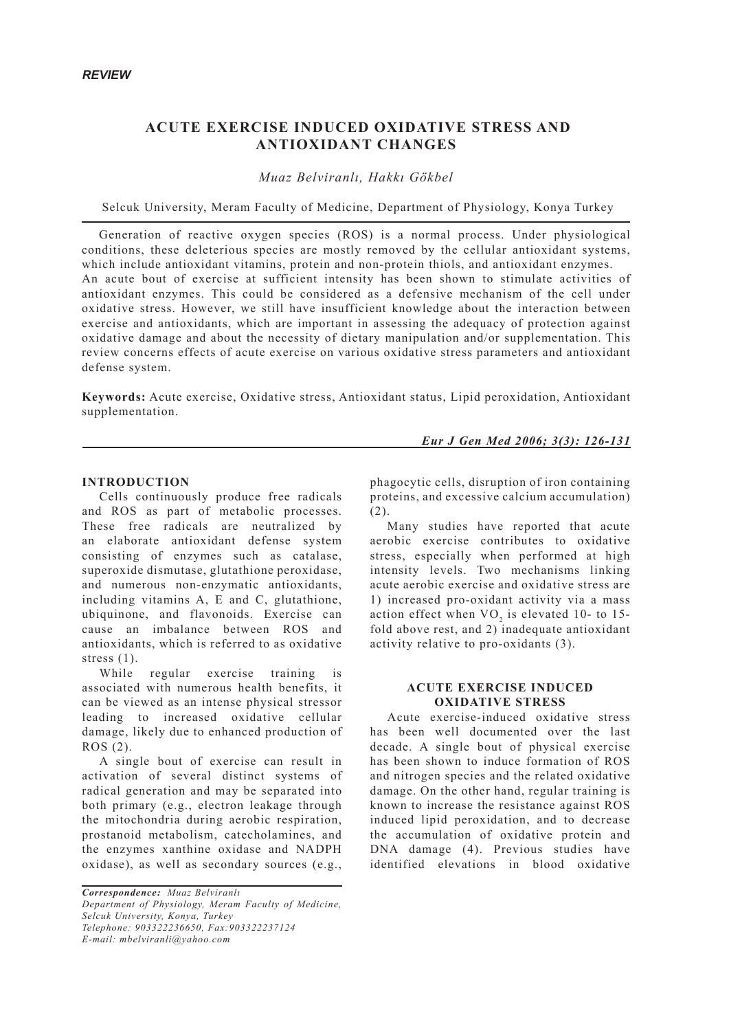# **ACUTE EXERCISE INDUCED OXIDATIVE STRESS AND ANTIOXIDANT CHANGES**

*Muaz Belviranlı, Hakkı Gökbel*

Selcuk University, Meram Faculty of Medicine, Department of Physiology, Konya Turkey

Generation of reactive oxygen species (ROS) is a normal process. Under physiological conditions, these deleterious species are mostly removed by the cellular antioxidant systems, which include antioxidant vitamins, protein and non-protein thiols, and antioxidant enzymes. An acute bout of exercise at sufficient intensity has been shown to stimulate activities of antioxidant enzymes. This could be considered as a defensive mechanism of the cell under oxidative stress. However, we still have insufficient knowledge about the interaction between exercise and antioxidants, which are important in assessing the adequacy of protection against oxidative damage and about the necessity of dietary manipulation and/or supplementation. This review concerns effects of acute exercise on various oxidative stress parameters and antioxidant defense system.

**Keywords:** Acute exercise, Oxidative stress, Antioxidant status, Lipid peroxidation, Antioxidant supplementation.

*Eur J Gen Med 2006; 3(3): 126-131*

### **INTRODUCTION**

Cells continuously produce free radicals and ROS as part of metabolic processes. These free radicals are neutralized by an elaborate antioxidant defense system consisting of enzymes such as catalase, superoxide dismutase, glutathione peroxidase, and numerous non-enzymatic antioxidants, including vitamins A, E and C, glutathione, ubiquinone, and flavonoids. Exercise can cause an imbalance between ROS and antioxidants, which is referred to as oxidative stress  $(1)$ .

While regular exercise training is associated with numerous health benefits, it can be viewed as an intense physical stressor leading to increased oxidative cellular damage, likely due to enhanced production of ROS (2).

A single bout of exercise can result in activation of several distinct systems of radical generation and may be separated into both primary (e.g., electron leakage through the mitochondria during aerobic respiration, prostanoid metabolism, catecholamines, and the enzymes xanthine oxidase and NADPH oxidase), as well as secondary sources (e.g.,

phagocytic cells, disruption of iron containing proteins, and excessive calcium accumulation) (2).

Many studies have reported that acute aerobic exercise contributes to oxidative stress, especially when performed at high intensity levels. Two mechanisms linking acute aerobic exercise and oxidative stress are 1) increased pro-oxidant activity via a mass action effect when  $VO<sub>2</sub>$  is elevated 10- to 15fold above rest, and 2) inadequate antioxidant activity relative to pro-oxidants (3).

### **ACUTE EXERCISE INDUCED OXIDATIVE STRESS**

Acute exercise-induced oxidative stress has been well documented over the last decade. A single bout of physical exercise has been shown to induce formation of ROS and nitrogen species and the related oxidative damage. On the other hand, regular training is known to increase the resistance against ROS induced lipid peroxidation, and to decrease the accumulation of oxidative protein and DNA damage (4). Previous studies have identified elevations in blood oxidative

*Correspondence: Muaz Belviranlı Department of Physiology, Meram Faculty of Medicine, Selcuk University, Konya, Turkey Telephone: 903322236650, Fax:903322237124 E-mail: mbelviranli@yahoo.com*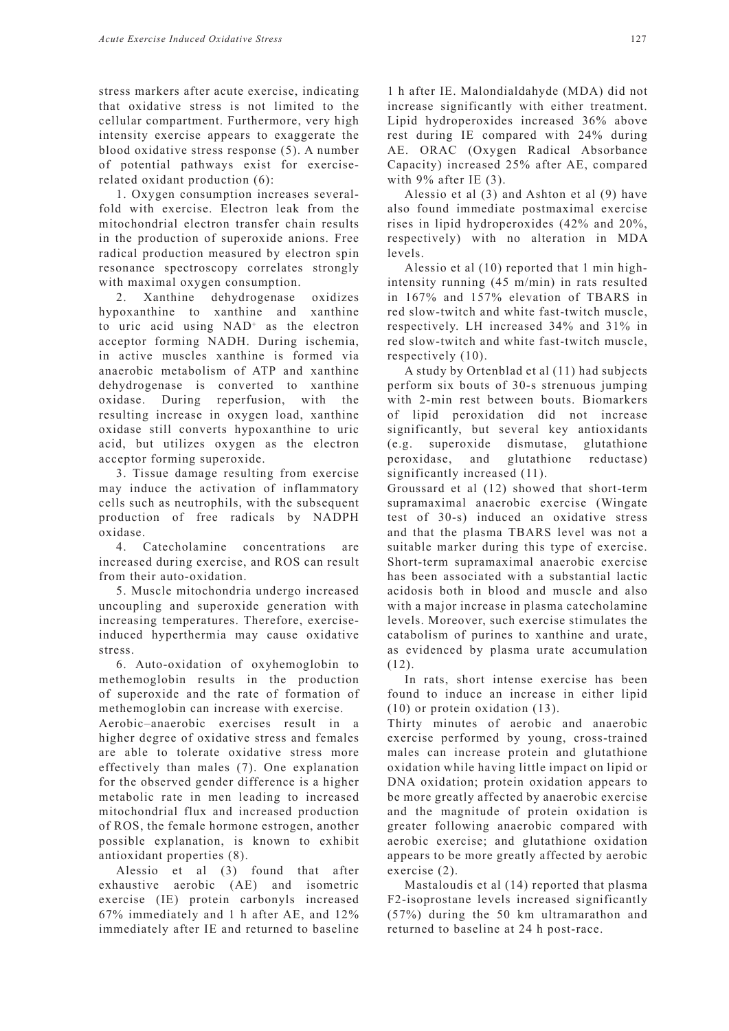stress markers after acute exercise, indicating that oxidative stress is not limited to the cellular compartment. Furthermore, very high intensity exercise appears to exaggerate the blood oxidative stress response (5). A number of potential pathways exist for exerciserelated oxidant production (6):

1. Oxygen consumption increases severalfold with exercise. Electron leak from the mitochondrial electron transfer chain results in the production of superoxide anions. Free radical production measured by electron spin resonance spectroscopy correlates strongly with maximal oxygen consumption.

2. Xanthine dehydrogenase oxidizes hypoxanthine to xanthine and xanthine to uric acid using NAD<sup>+</sup> as the electron acceptor forming NADH. During ischemia, in active muscles xanthine is formed via anaerobic metabolism of ATP and xanthine dehydrogenase is converted to xanthine oxidase. During reperfusion, with the resulting increase in oxygen load, xanthine oxidase still converts hypoxanthine to uric acid, but utilizes oxygen as the electron acceptor forming superoxide.

3. Tissue damage resulting from exercise may induce the activation of inflammatory cells such as neutrophils, with the subsequent production of free radicals by NADPH oxidase.

4. Catecholamine concentrations are increased during exercise, and ROS can result from their auto-oxidation.

5. Muscle mitochondria undergo increased uncoupling and superoxide generation with increasing temperatures. Therefore, exerciseinduced hyperthermia may cause oxidative stress.

6. Auto-oxidation of oxyhemoglobin to methemoglobin results in the production of superoxide and the rate of formation of methemoglobin can increase with exercise.

Aerobic–anaerobic exercises result in a higher degree of oxidative stress and females are able to tolerate oxidative stress more effectively than males (7). One explanation for the observed gender difference is a higher metabolic rate in men leading to increased mitochondrial flux and increased production of ROS, the female hormone estrogen, another possible explanation, is known to exhibit antioxidant properties (8).

Alessio et al (3) found that after exhaustive aerobic (AE) and isometric exercise (IE) protein carbonyls increased 67% immediately and 1 h after AE, and 12% immediately after IE and returned to baseline

1 h after IE. Malondialdahyde (MDA) did not increase significantly with either treatment. Lipid hydroperoxides increased 36% above rest during IE compared with 24% during AE. ORAC (Oxygen Radical Absorbance Capacity) increased 25% after AE, compared with 9% after IE (3).

Alessio et al (3) and Ashton et al (9) have also found immediate postmaximal exercise rises in lipid hydroperoxides (42% and 20%, respectively) with no alteration in MDA levels.

Alessio et al (10) reported that 1 min highintensity running (45 m/min) in rats resulted in 167% and 157% elevation of TBARS in red slow-twitch and white fast-twitch muscle, respectively. LH increased 34% and 31% in red slow-twitch and white fast-twitch muscle, respectively (10).

A study by Ortenblad et al (11) had subjects perform six bouts of 30-s strenuous jumping with 2-min rest between bouts. Biomarkers of lipid peroxidation did not increase significantly, but several key antioxidants (e.g. superoxide dismutase, glutathione peroxidase, and glutathione reductase) significantly increased (11).

Groussard et al (12) showed that short-term supramaximal anaerobic exercise (Wingate test of 30-s) induced an oxidative stress and that the plasma TBARS level was not a suitable marker during this type of exercise. Short-term supramaximal anaerobic exercise has been associated with a substantial lactic acidosis both in blood and muscle and also with a major increase in plasma catecholamine levels. Moreover, such exercise stimulates the catabolism of purines to xanthine and urate, as evidenced by plasma urate accumulation (12).

In rats, short intense exercise has been found to induce an increase in either lipid (10) or protein oxidation (13).

Thirty minutes of aerobic and anaerobic exercise performed by young, cross-trained males can increase protein and glutathione oxidation while having little impact on lipid or DNA oxidation; protein oxidation appears to be more greatly affected by anaerobic exercise and the magnitude of protein oxidation is greater following anaerobic compared with aerobic exercise; and glutathione oxidation appears to be more greatly affected by aerobic exercise (2).

Mastaloudis et al (14) reported that plasma F2-isoprostane levels increased significantly (57%) during the 50 km ultramarathon and returned to baseline at 24 h post-race.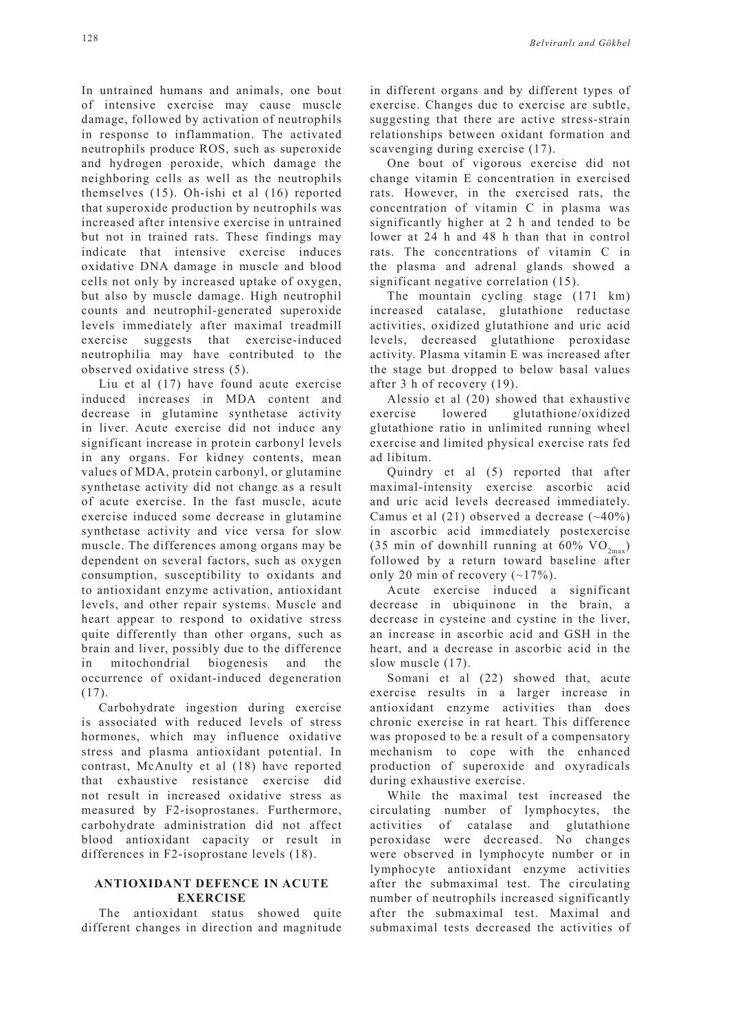In untrained humans and animals, one bout of intensive exercise may cause muscle damage, followed by activation of neutrophils in response to inflammation. The activated neutrophils produce ROS, such as superoxide and hydrogen peroxide, which damage the neighboring cells as well as the neutrophils themselves (15). Oh-ishi et al (16) reported that superoxide production by neutrophils was increased after intensive exercise in untrained but not in trained rats. These findings may indicate that intensive exercise induces oxidative DNA damage in muscle and blood cells not only by increased uptake of oxygen, but also by muscle damage. High neutrophil counts and neutrophil-generated superoxide levels immediately after maximal treadmill exercise suggests that exercise-induced neutrophilia may have contributed to the observed oxidative stress (5).

Liu et al (17) have found acute exercise induced increases in MDA content and decrease in glutamine synthetase activity in liver. Acute exercise did not induce any significant increase in protein carbonyl levels in any organs. For kidney contents, mean values of MDA, protein carbonyl, or glutamine synthetase activity did not change as a result of acute exercise. In the fast muscle, acute exercise induced some decrease in glutamine synthetase activity and vice versa for slow muscle. The differences among organs may be dependent on several factors, such as oxygen consumption, susceptibility to oxidants and to antioxidant enzyme activation, antioxidant levels, and other repair systems. Muscle and heart appear to respond to oxidative stress quite differently than other organs, such as brain and liver, possibly due to the difference in mitochondrial biogenesis and the occurrence of oxidant-induced degeneration (17).

Carbohydrate ingestion during exercise is associated with reduced levels of stress hormones, which may influence oxidative stress and plasma antioxidant potential. In contrast, McAnulty et al (18) have reported that exhaustive resistance exercise did not result in increased oxidative stress as measured by F2-isoprostanes. Furthermore, carbohydrate administration did not affect blood antioxidant capacity or result in differences in F2-isoprostane levels (18).

### **ANTIOXIDANT DEFENCE IN ACUTE EXERCISE**

The antioxidant status showed quite different changes in direction and magnitude in different organs and by different types of exercise. Changes due to exercise are subtle, suggesting that there are active stress-strain relationships between oxidant formation and scavenging during exercise (17).

One bout of vigorous exercise did not change vitamin E concentration in exercised rats. However, in the exercised rats, the concentration of vitamin C in plasma was significantly higher at 2 h and tended to be lower at 24 h and 48 h than that in control rats. The concentrations of vitamin C in the plasma and adrenal glands showed a significant negative correlation (15).

The mountain cycling stage (171 km) increased catalase, glutathione reductase activities, oxidized glutathione and uric acid levels, decreased glutathione peroxidase activity. Plasma vitamin E was increased after the stage but dropped to below basal values after 3 h of recovery (19).

Alessio et al (20) showed that exhaustive exercise lowered glutathione/oxidized glutathione ratio in unlimited running wheel exercise and limited physical exercise rats fed ad libitum.

Quindry et al (5) reported that after maximal-intensity exercise ascorbic acid and uric acid levels decreased immediately. Camus et al  $(21)$  observed a decrease  $(-40\%)$ in ascorbic acid immediately postexercise (35 min of downhill running at 60%  $VO_{2m}$ ) followed by a return toward baseline after only 20 min of recovery  $(-17%)$ .

Acute exercise induced a significant decrease in ubiquinone in the brain, a decrease in cysteine and cystine in the liver, an increase in ascorbic acid and GSH in the heart, and a decrease in ascorbic acid in the slow muscle (17).

Somani et al (22) showed that, acute exercise results in a larger increase in antioxidant enzyme activities than does chronic exercise in rat heart. This difference was proposed to be a result of a compensatory mechanism to cope with the enhanced production of superoxide and oxyradicals during exhaustive exercise.

While the maximal test increased the circulating number of lymphocytes, the activities of catalase and glutathione peroxidase were decreased. No changes were observed in lymphocyte number or in lymphocyte antioxidant enzyme activities after the submaximal test. The circulating number of neutrophils increased significantly after the submaximal test. Maximal and submaximal tests decreased the activities of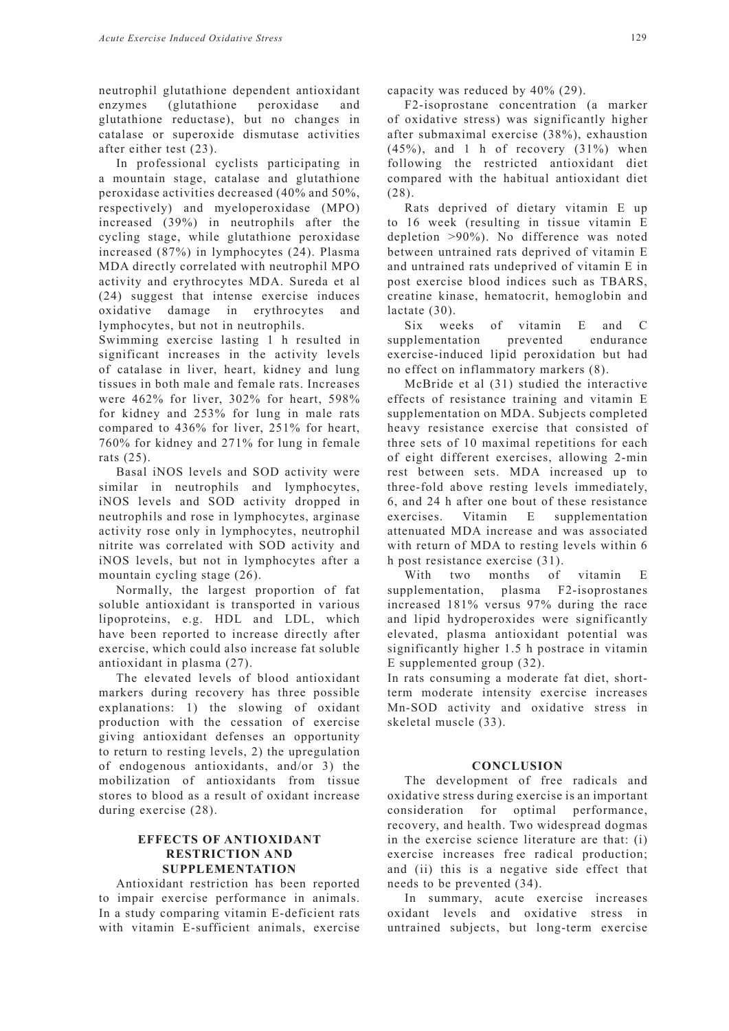neutrophil glutathione dependent antioxidant enzymes (glutathione peroxidase and glutathione reductase), but no changes in catalase or superoxide dismutase activities after either test (23).

In professional cyclists participating in a mountain stage, catalase and glutathione peroxidase activities decreased (40% and 50%, respectively) and myeloperoxidase (MPO) increased (39%) in neutrophils after the cycling stage, while glutathione peroxidase increased (87%) in lymphocytes (24). Plasma MDA directly correlated with neutrophil MPO activity and erythrocytes MDA. Sureda et al (24) suggest that intense exercise induces oxidative damage in erythrocytes and lymphocytes, but not in neutrophils.

Swimming exercise lasting 1 h resulted in significant increases in the activity levels of catalase in liver, heart, kidney and lung tissues in both male and female rats. Increases were 462% for liver, 302% for heart, 598% for kidney and 253% for lung in male rats compared to 436% for liver, 251% for heart, 760% for kidney and 271% for lung in female rats (25).

Basal iNOS levels and SOD activity were similar in neutrophils and lymphocytes, iNOS levels and SOD activity dropped in neutrophils and rose in lymphocytes, arginase activity rose only in lymphocytes, neutrophil nitrite was correlated with SOD activity and iNOS levels, but not in lymphocytes after a mountain cycling stage (26).

Normally, the largest proportion of fat soluble antioxidant is transported in various lipoproteins, e.g. HDL and LDL, which have been reported to increase directly after exercise, which could also increase fat soluble antioxidant in plasma (27).

The elevated levels of blood antioxidant markers during recovery has three possible explanations: 1) the slowing of oxidant production with the cessation of exercise giving antioxidant defenses an opportunity to return to resting levels, 2) the upregulation of endogenous antioxidants, and/or 3) the mobilization of antioxidants from tissue stores to blood as a result of oxidant increase during exercise (28).

## **EFFECTS OF ANTIOXIDANT RESTRICTION AND SUPPLEMENTATION**

Antioxidant restriction has been reported to impair exercise performance in animals. In a study comparing vitamin E-deficient rats with vitamin E-sufficient animals, exercise

capacity was reduced by 40% (29).

F2-isoprostane concentration (a marker of oxidative stress) was significantly higher after submaximal exercise (38%), exhaustion  $(45\%)$ , and 1 h of recovery  $(31\%)$  when following the restricted antioxidant diet compared with the habitual antioxidant diet (28).

Rats deprived of dietary vitamin E up to 16 week (resulting in tissue vitamin E depletion >90%). No difference was noted between untrained rats deprived of vitamin E and untrained rats undeprived of vitamin E in post exercise blood indices such as TBARS, creatine kinase, hematocrit, hemoglobin and lactate (30).

Six weeks of vitamin E and C supplementation prevented endurance exercise-induced lipid peroxidation but had no effect on inflammatory markers (8).

McBride et al (31) studied the interactive effects of resistance training and vitamin E supplementation on MDA. Subjects completed heavy resistance exercise that consisted of three sets of 10 maximal repetitions for each of eight different exercises, allowing 2-min rest between sets. MDA increased up to three-fold above resting levels immediately, 6, and 24 h after one bout of these resistance exercises. Vitamin E supplementation attenuated MDA increase and was associated with return of MDA to resting levels within 6 h post resistance exercise (31).

With two months of vitamin E supplementation, plasma F2-isoprostanes increased 181% versus 97% during the race and lipid hydroperoxides were significantly elevated, plasma antioxidant potential was significantly higher 1.5 h postrace in vitamin E supplemented group (32).

In rats consuming a moderate fat diet, shortterm moderate intensity exercise increases Mn-SOD activity and oxidative stress in skeletal muscle (33).

#### **CONCLUSION**

The development of free radicals and oxidative stress during exercise is an important consideration for optimal performance, recovery, and health. Two widespread dogmas in the exercise science literature are that: (i) exercise increases free radical production; and (ii) this is a negative side effect that needs to be prevented (34).

In summary, acute exercise increases oxidant levels and oxidative stress in untrained subjects, but long-term exercise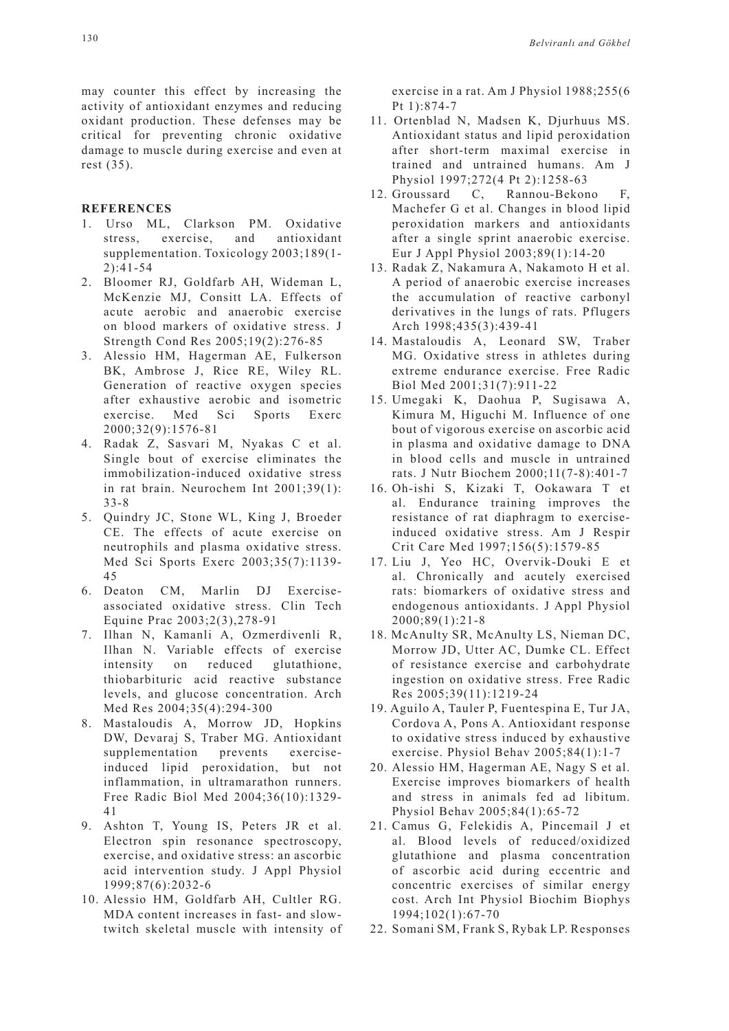may counter this effect by increasing the activity of antioxidant enzymes and reducing oxidant production. These defenses may be critical for preventing chronic oxidative damage to muscle during exercise and even at rest (35).

#### **REFERENCES**

- 1. Urso ML, Clarkson PM. Oxidative stress, exercise, and antioxidant supplementation. Toxicology 2003;189(1- 2):41-54
- 2. Bloomer RJ, Goldfarb AH, Wideman L, McKenzie MJ, Consitt LA. Effects of acute aerobic and anaerobic exercise on blood markers of oxidative stress. J Strength Cond Res 2005;19(2):276-85
- 3. Alessio HM, Hagerman AE, Fulkerson BK, Ambrose J, Rice RE, Wiley RL. Generation of reactive oxygen species after exhaustive aerobic and isometric exercise. Med Sci Sports Exerc 2000;32(9):1576-81
- 4. Radak Z, Sasvari M, Nyakas C et al. Single bout of exercise eliminates the immobilization-induced oxidative stress in rat brain. Neurochem Int 2001;39(1): 33-8
- 5. Quindry JC, Stone WL, King J, Broeder CE. The effects of acute exercise on neutrophils and plasma oxidative stress. Med Sci Sports Exerc 2003;35(7):1139- 45
- 6. Deaton CM, Marlin DJ Exerciseassociated oxidative stress. Clin Tech Equine Prac 2003;2(3),278-91
- 7. Ilhan N, Kamanli A, Ozmerdivenli R, Ilhan N. Variable effects of exercise intensity on reduced glutathione, thiobarbituric acid reactive substance levels, and glucose concentration. Arch Med Res 2004;35(4):294-300
- 8. Mastaloudis A, Morrow JD, Hopkins DW, Devaraj S, Traber MG. Antioxidant supplementation prevents exerciseinduced lipid peroxidation, but not inflammation, in ultramarathon runners. Free Radic Biol Med 2004;36(10):1329- 41
- 9. Ashton T, Young IS, Peters JR et al. Electron spin resonance spectroscopy, exercise, and oxidative stress: an ascorbic acid intervention study. J Appl Physiol 1999;87(6):2032-6
- 10. Alessio HM, Goldfarb AH, Cultler RG. MDA content increases in fast- and slowtwitch skeletal muscle with intensity of

exercise in a rat. Am J Physiol 1988;255(6 Pt 1):874-7

- 11. Ortenblad N, Madsen K, Djurhuus MS. Antioxidant status and lipid peroxidation after short-term maximal exercise in trained and untrained humans. Am J Physiol 1997;272(4 Pt 2):1258-63
- 12. Groussard C, Rannou-Bekono F, Machefer G et al. Changes in blood lipid peroxidation markers and antioxidants after a single sprint anaerobic exercise. Eur J Appl Physiol 2003;89(1):14-20
- 13. Radak Z, Nakamura A, Nakamoto H et al. A period of anaerobic exercise increases the accumulation of reactive carbonyl derivatives in the lungs of rats. Pflugers Arch 1998;435(3):439-41
- 14. Mastaloudis A, Leonard SW, Traber MG. Oxidative stress in athletes during extreme endurance exercise. Free Radic Biol Med 2001;31(7):911-22
- 15. Umegaki K, Daohua P, Sugisawa A, Kimura M, Higuchi M. Influence of one bout of vigorous exercise on ascorbic acid in plasma and oxidative damage to DNA in blood cells and muscle in untrained rats. J Nutr Biochem 2000;11(7-8):401-7
- 16. Oh-ishi S, Kizaki T, Ookawara T et al. Endurance training improves the resistance of rat diaphragm to exerciseinduced oxidative stress. Am J Respir Crit Care Med 1997;156(5):1579-85
- 17. Liu J, Yeo HC, Overvik-Douki E et al. Chronically and acutely exercised rats: biomarkers of oxidative stress and endogenous antioxidants. J Appl Physiol 2000;89(1):21-8
- 18. McAnulty SR, McAnulty LS, Nieman DC, Morrow JD, Utter AC, Dumke CL. Effect of resistance exercise and carbohydrate ingestion on oxidative stress. Free Radic Res 2005;39(11):1219-24
- 19. Aguilo A, Tauler P, Fuentespina E, Tur JA, Cordova A, Pons A. Antioxidant response to oxidative stress induced by exhaustive exercise. Physiol Behav 2005;84(1):1-7
- 20. Alessio HM, Hagerman AE, Nagy S et al. Exercise improves biomarkers of health and stress in animals fed ad libitum. Physiol Behav 2005;84(1):65-72
- 21. Camus G, Felekidis A, Pincemail J et al. Blood levels of reduced/oxidized glutathione and plasma concentration of ascorbic acid during eccentric and concentric exercises of similar energy cost. Arch Int Physiol Biochim Biophys 1994;102(1):67-70
- 22. Somani SM, Frank S, Rybak LP. Responses